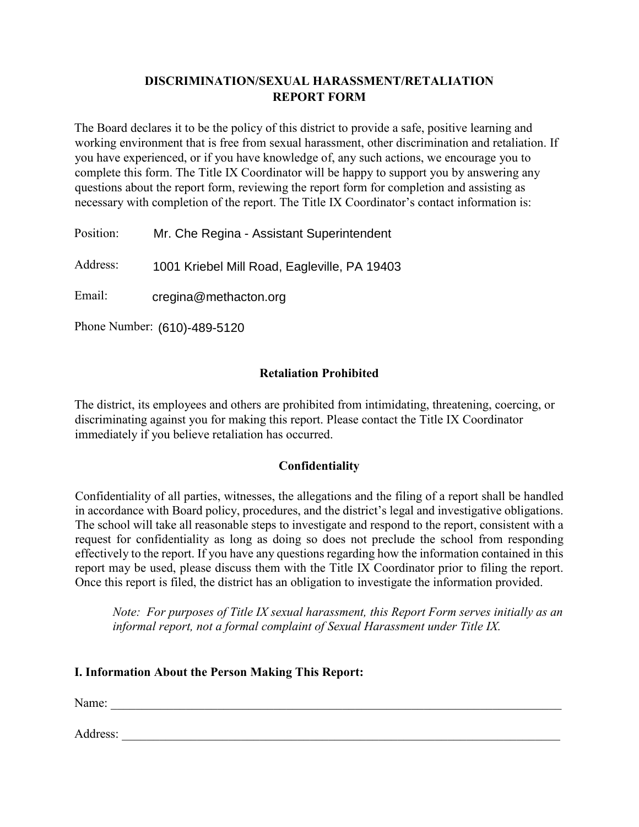# **DISCRIMINATION/SEXUAL HARASSMENT/RETALIATION REPORT FORM**

The Board declares it to be the policy of this district to provide a safe, positive learning and working environment that is free from sexual harassment, other discrimination and retaliation. If you have experienced, or if you have knowledge of, any such actions, we encourage you to complete this form. The Title IX Coordinator will be happy to support you by answering any questions about the report form, reviewing the report form for completion and assisting as necessary with completion of the report. The Title IX Coordinator's contact information is:

Position: Mr. Che Regina - Assistant Superintendent

Address: 1001 Kriebel Mill Road, Eagleville, PA 19403

Email: cregina@methacton.org

Phone Number: (610)-489-5120

# **Retaliation Prohibited**

The district, its employees and others are prohibited from intimidating, threatening, coercing, or discriminating against you for making this report. Please contact the Title IX Coordinator immediately if you believe retaliation has occurred.

## **Confidentiality**

Confidentiality of all parties, witnesses, the allegations and the filing of a report shall be handled in accordance with Board policy, procedures, and the district's legal and investigative obligations. The school will take all reasonable steps to investigate and respond to the report, consistent with a request for confidentiality as long as doing so does not preclude the school from responding effectively to the report. If you have any questions regarding how the information contained in this report may be used, please discuss them with the Title IX Coordinator prior to filing the report. Once this report is filed, the district has an obligation to investigate the information provided.

*Note: For purposes of Title IX sexual harassment, this Report Form serves initially as an informal report, not a formal complaint of Sexual Harassment under Title IX.* 

## **I. Information About the Person Making This Report:**

Name: \_\_\_\_\_\_\_\_\_\_\_\_\_\_\_\_\_\_\_\_\_\_\_\_\_\_\_\_\_\_\_\_\_\_\_\_\_\_\_\_\_\_\_\_\_\_\_\_\_\_\_\_\_\_\_\_\_\_\_\_\_\_\_\_\_\_\_\_\_\_\_\_

Address: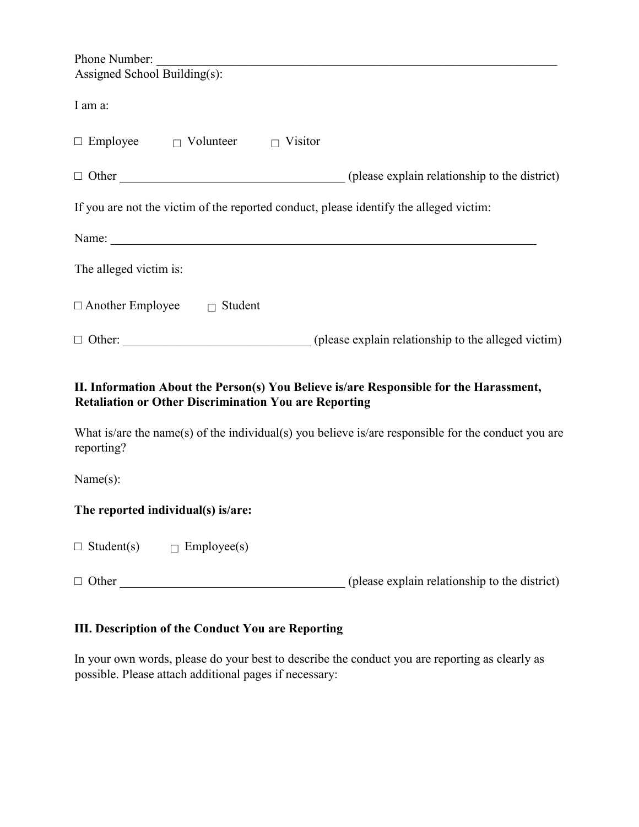| Phone Number:                                   |                                                                                        |
|-------------------------------------------------|----------------------------------------------------------------------------------------|
| Assigned School Building(s):                    |                                                                                        |
|                                                 |                                                                                        |
| I am a:                                         |                                                                                        |
|                                                 |                                                                                        |
| $\Box$ Employee $\Box$ Volunteer $\Box$ Visitor |                                                                                        |
|                                                 |                                                                                        |
| $\Box$ Other                                    | (please explain relationship to the district)                                          |
|                                                 |                                                                                        |
|                                                 | If you are not the victim of the reported conduct, please identify the alleged victim: |
|                                                 |                                                                                        |
|                                                 |                                                                                        |
|                                                 |                                                                                        |
| The alleged victim is:                          |                                                                                        |
|                                                 |                                                                                        |
| $\Box$ Another Employee<br>Student<br>$\Box$    |                                                                                        |
|                                                 |                                                                                        |
| $\Box$ Other:                                   | (please explain relationship to the alleged victim)                                    |

# **II. Information About the Person(s) You Believe is/are Responsible for the Harassment, Retaliation or Other Discrimination You are Reporting**

What is/are the name(s) of the individual(s) you believe is/are responsible for the conduct you are reporting?

Name(s):

### **The reported individual(s) is/are:**

| $\Box$ Student(s) | $\Box$ Employee(s) |
|-------------------|--------------------|
|                   |                    |

 $\Box$  Other  $\Box$  Other

# **III. Description of the Conduct You are Reporting**

In your own words, please do your best to describe the conduct you are reporting as clearly as possible. Please attach additional pages if necessary: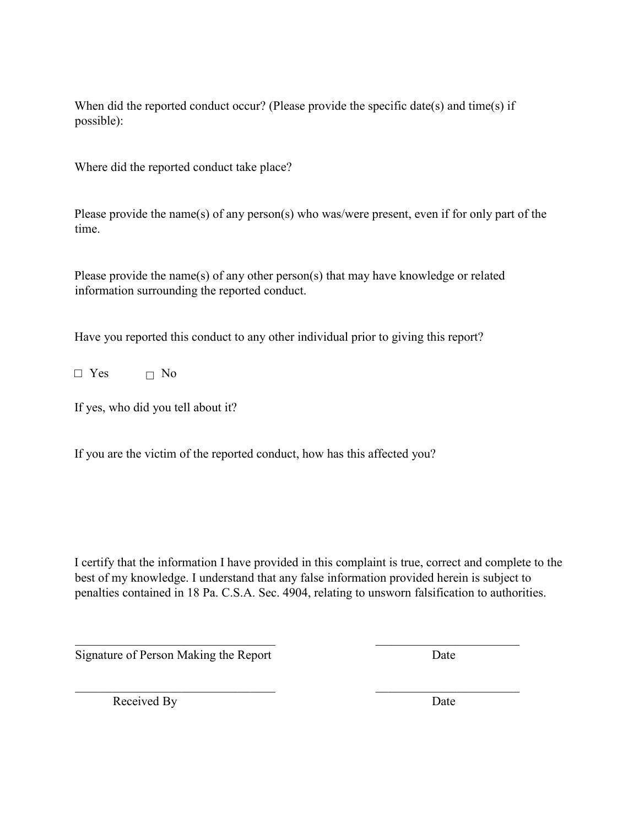When did the reported conduct occur? (Please provide the specific date(s) and time(s) if possible):

Where did the reported conduct take place?

Please provide the name(s) of any person(s) who was/were present, even if for only part of the time.

Please provide the name(s) of any other person(s) that may have knowledge or related information surrounding the reported conduct.

Have you reported this conduct to any other individual prior to giving this report?

 $\square$  Yes  $\square$  No

If yes, who did you tell about it?

If you are the victim of the reported conduct, how has this affected you?

I certify that the information I have provided in this complaint is true, correct and complete to the best of my knowledge. I understand that any false information provided herein is subject to penalties contained in 18 Pa. C.S.A. Sec. 4904, relating to unsworn falsification to authorities.

 $\mathcal{L}_\text{max}$  , and the contract of the contract of the contract of the contract of the contract of the contract of the contract of the contract of the contract of the contract of the contract of the contract of the contr

 $\mathcal{L}_\text{max}$  , and the contract of the contract of the contract of the contract of the contract of the contract of the contract of the contract of the contract of the contract of the contract of the contract of the contr

Signature of Person Making the Report Date

Received By Date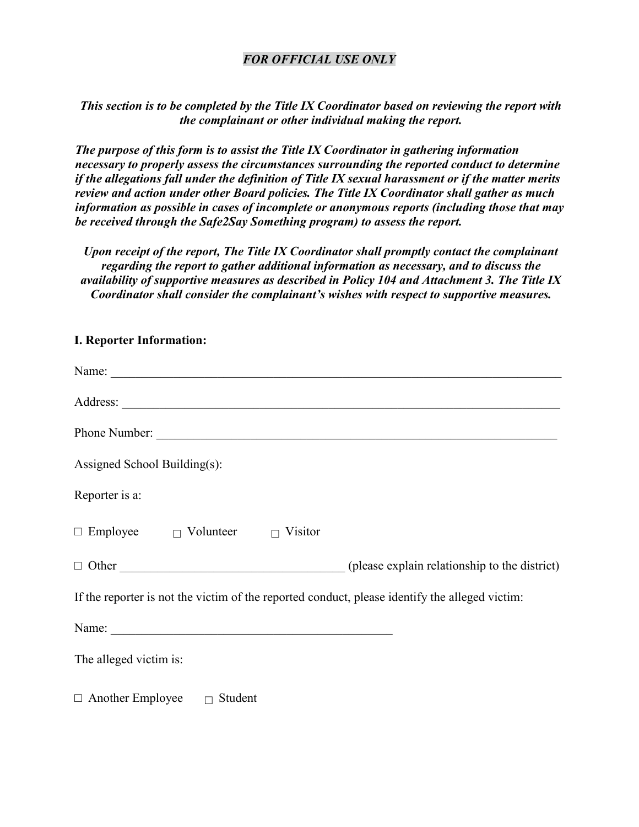### *FOR OFFICIAL USE ONLY*

*This section is to be completed by the Title IX Coordinator based on reviewing the report with the complainant or other individual making the report.* 

*The purpose of this form is to assist the Title IX Coordinator in gathering information necessary to properly assess the circumstances surrounding the reported conduct to determine if the allegations fall under the definition of Title IX sexual harassment or if the matter merits review and action under other Board policies. The Title IX Coordinator shall gather as much information as possible in cases of incomplete or anonymous reports (including those that may be received through the Safe2Say Something program) to assess the report.* 

*Upon receipt of the report, The Title IX Coordinator shall promptly contact the complainant regarding the report to gather additional information as necessary, and to discuss the availability of supportive measures as described in Policy 104 and Attachment 3. The Title IX Coordinator shall consider the complainant's wishes with respect to supportive measures.*

### **I. Reporter Information:**

| Name:                                                                                          |  |  |
|------------------------------------------------------------------------------------------------|--|--|
|                                                                                                |  |  |
|                                                                                                |  |  |
| Assigned School Building(s):                                                                   |  |  |
| Reporter is a:                                                                                 |  |  |
| $\Box$ Employee $\Box$ Volunteer $\Box$ Visitor                                                |  |  |
|                                                                                                |  |  |
| If the reporter is not the victim of the reported conduct, please identify the alleged victim: |  |  |
| Name:                                                                                          |  |  |
| The alleged victim is:                                                                         |  |  |
| $\Box$ Another Employee<br>Student                                                             |  |  |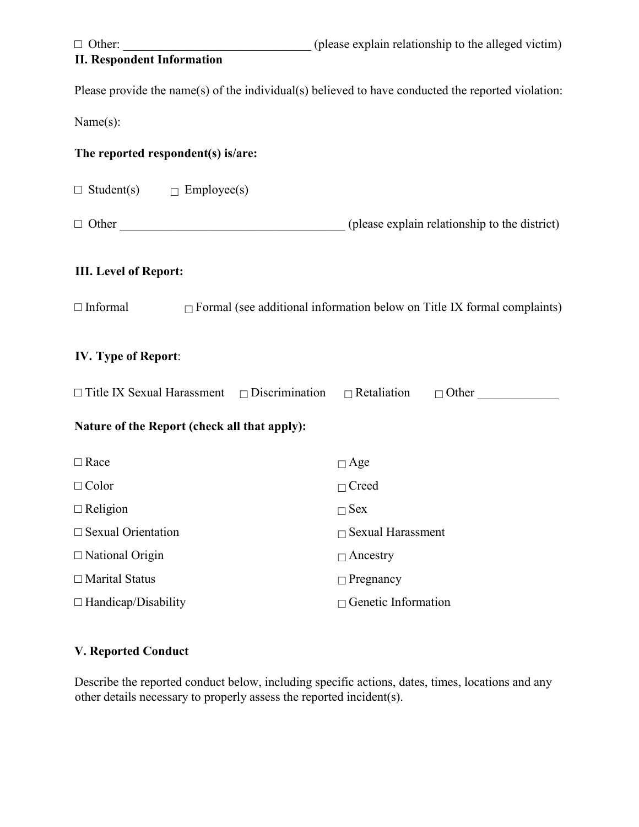| $\Box$ Other:                                                              | (please explain relationship to the alleged victim)                                                |
|----------------------------------------------------------------------------|----------------------------------------------------------------------------------------------------|
| <b>II. Respondent Information</b>                                          |                                                                                                    |
|                                                                            | Please provide the name(s) of the individual(s) believed to have conducted the reported violation: |
| Name(s):                                                                   |                                                                                                    |
| The reported respondent(s) is/are:                                         |                                                                                                    |
| $\Box$ Student(s) $\Box$ Employee(s)                                       |                                                                                                    |
|                                                                            |                                                                                                    |
| <b>III.</b> Level of Report:                                               |                                                                                                    |
| $\Box$ Informal                                                            | $\Box$ Formal (see additional information below on Title IX formal complaints)                     |
| <b>IV.</b> Type of Report:                                                 |                                                                                                    |
| $\Box$ Title IX Sexual Harassment $\Box$ Discrimination $\Box$ Retaliation | $\Box$ Other                                                                                       |
| Nature of the Report (check all that apply):                               |                                                                                                    |
| $\Box$ Race                                                                | $\Box$ Age                                                                                         |
| $\Box$ Color                                                               | $\Box$ Creed                                                                                       |
| $\Box$ Religion                                                            | $\Box$ Sex                                                                                         |
| $\Box$ Sexual Orientation                                                  | $\Box$ Sexual Harassment                                                                           |
| $\Box$ National Origin                                                     | $\Box$ Ancestry                                                                                    |
| $\Box$ Marital Status                                                      | $\Box$ Pregnancy                                                                                   |
| $\Box$ Handicap/Disability                                                 | $\Box$ Genetic Information                                                                         |
|                                                                            |                                                                                                    |

# **V. Reported Conduct**

Describe the reported conduct below, including specific actions, dates, times, locations and any other details necessary to properly assess the reported incident(s).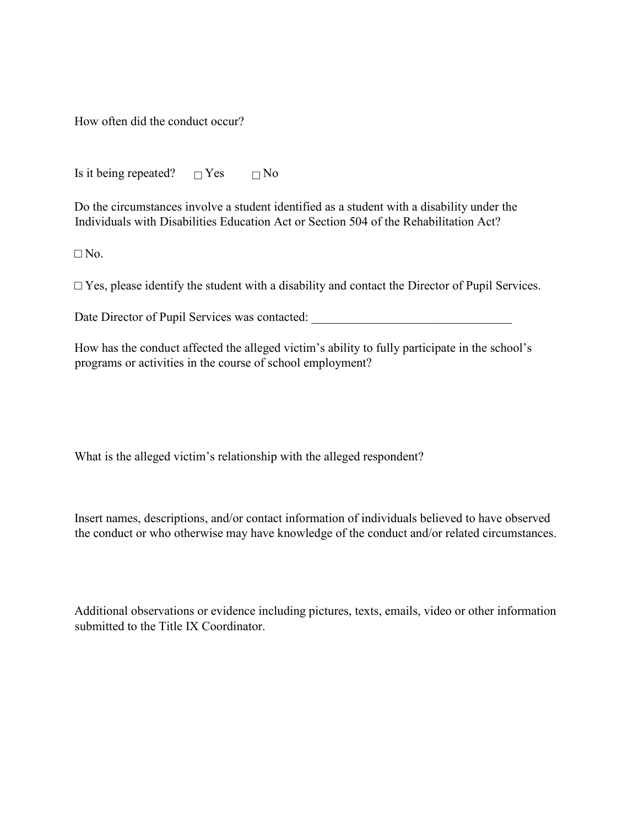How often did the conduct occur?

Is it being repeated?  $\Box$  Yes  $\Box$  No

Do the circumstances involve a student identified as a student with a disability under the Individuals with Disabilities Education Act or Section 504 of the Rehabilitation Act?

 $\Box$  No.

 $\Box$  Yes, please identify the student with a disability and contact the Director of Pupil Services.

Date Director of Pupil Services was contacted:

How has the conduct affected the alleged victim's ability to fully participate in the school's programs or activities in the course of school employment?

What is the alleged victim's relationship with the alleged respondent?

Insert names, descriptions, and/or contact information of individuals believed to have observed the conduct or who otherwise may have knowledge of the conduct and/or related circumstances.

Additional observations or evidence including pictures, texts, emails, video or other information submitted to the Title IX Coordinator.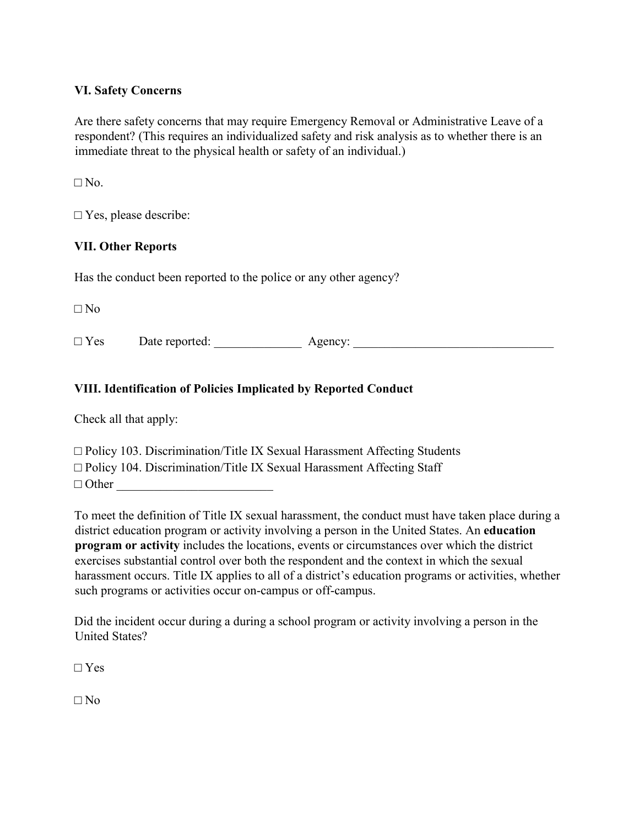### **VI. Safety Concerns**

Are there safety concerns that may require Emergency Removal or Administrative Leave of a respondent? (This requires an individualized safety and risk analysis as to whether there is an immediate threat to the physical health or safety of an individual.)

 $\Box$  No.

□ Yes, please describe:

### **VII. Other Reports**

Has the conduct been reported to the police or any other agency?

 $\Box$  No

□ Yes Date reported: \_\_\_\_\_\_\_\_\_\_\_\_\_\_ Agency: \_\_\_\_\_\_\_\_\_\_\_\_\_\_\_\_\_\_\_\_\_\_\_\_\_\_\_\_\_\_\_\_

## **VIII. Identification of Policies Implicated by Reported Conduct**

Check all that apply:

| $\Box$ Policy 103. Discrimination/Title IX Sexual Harassment Affecting Students |
|---------------------------------------------------------------------------------|
| $\Box$ Policy 104. Discrimination/Title IX Sexual Harassment Affecting Staff    |
| $\Box$ Other                                                                    |

To meet the definition of Title IX sexual harassment, the conduct must have taken place during a district education program or activity involving a person in the United States. An **education program or activity** includes the locations, events or circumstances over which the district exercises substantial control over both the respondent and the context in which the sexual harassment occurs. Title IX applies to all of a district's education programs or activities, whether such programs or activities occur on-campus or off-campus.

Did the incident occur during a during a school program or activity involving a person in the United States?

**□** Yes

 $\Box$  No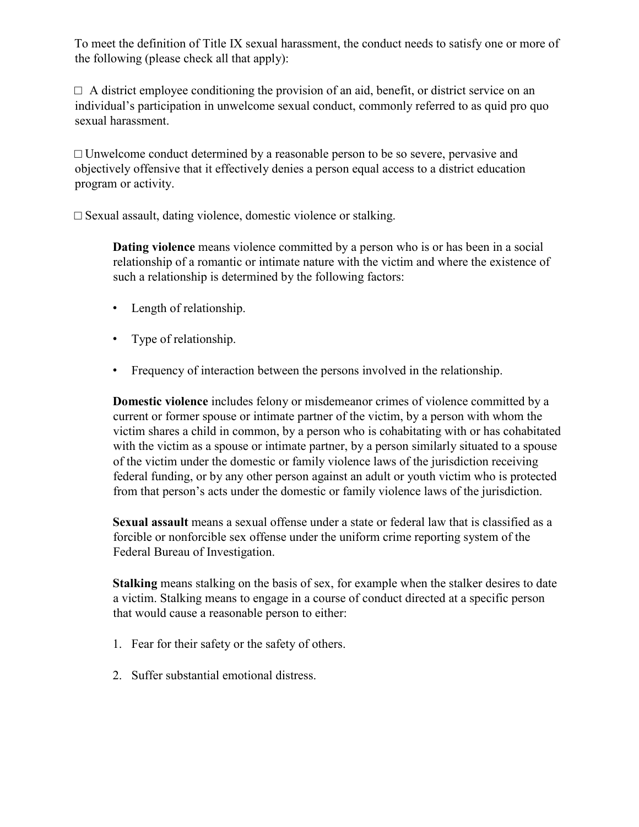To meet the definition of Title IX sexual harassment, the conduct needs to satisfy one or more of the following (please check all that apply):

 $\Box$  A district employee conditioning the provision of an aid, benefit, or district service on an individual's participation in unwelcome sexual conduct, commonly referred to as quid pro quo sexual harassment.

 $\Box$  Unwelcome conduct determined by a reasonable person to be so severe, pervasive and objectively offensive that it effectively denies a person equal access to a district education program or activity.

 $\square$  Sexual assault, dating violence, domestic violence or stalking.

**Dating violence** means violence committed by a person who is or has been in a social relationship of a romantic or intimate nature with the victim and where the existence of such a relationship is determined by the following factors:

- Length of relationship.
- Type of relationship.
- Frequency of interaction between the persons involved in the relationship.

**Domestic violence** includes felony or misdemeanor crimes of violence committed by a current or former spouse or intimate partner of the victim, by a person with whom the victim shares a child in common, by a person who is cohabitating with or has cohabitated with the victim as a spouse or intimate partner, by a person similarly situated to a spouse of the victim under the domestic or family violence laws of the jurisdiction receiving federal funding, or by any other person against an adult or youth victim who is protected from that person's acts under the domestic or family violence laws of the jurisdiction.

**Sexual assault** means a sexual offense under a state or federal law that is classified as a forcible or nonforcible sex offense under the uniform crime reporting system of the Federal Bureau of Investigation.

**Stalking** means stalking on the basis of sex, for example when the stalker desires to date a victim. Stalking means to engage in a course of conduct directed at a specific person that would cause a reasonable person to either:

- 1. Fear for their safety or the safety of others.
- 2. Suffer substantial emotional distress.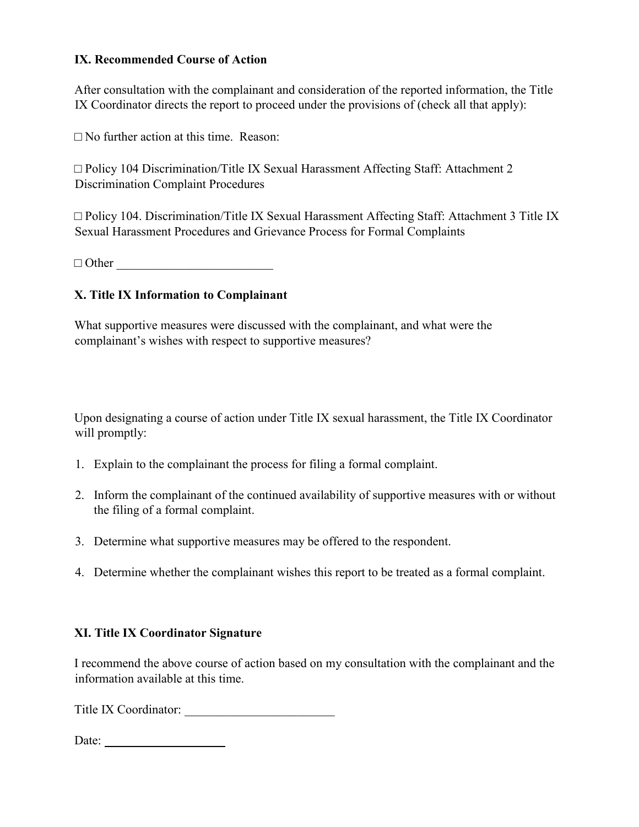### **IX. Recommended Course of Action**

After consultation with the complainant and consideration of the reported information, the Title IX Coordinator directs the report to proceed under the provisions of (check all that apply):

 $\square$  No further action at this time. Reason:

 $\Box$  Policy 104 Discrimination/Title IX Sexual Harassment Affecting Staff: Attachment 2 Discrimination Complaint Procedures

 $\Box$  Policy 104. Discrimination/Title IX Sexual Harassment Affecting Staff: Attachment 3 Title IX Sexual Harassment Procedures and Grievance Process for Formal Complaints

□ Other \_\_\_\_\_\_\_\_\_\_\_\_\_\_\_\_\_\_\_\_\_\_\_\_\_

## **X. Title IX Information to Complainant**

What supportive measures were discussed with the complainant, and what were the complainant's wishes with respect to supportive measures?

Upon designating a course of action under Title IX sexual harassment, the Title IX Coordinator will promptly:

- 1. Explain to the complainant the process for filing a formal complaint.
- 2. Inform the complainant of the continued availability of supportive measures with or without the filing of a formal complaint.
- 3. Determine what supportive measures may be offered to the respondent.
- 4. Determine whether the complainant wishes this report to be treated as a formal complaint.

## **XI. Title IX Coordinator Signature**

I recommend the above course of action based on my consultation with the complainant and the information available at this time.

Title IX Coordinator: \_\_\_\_\_\_\_\_\_\_\_\_\_\_\_\_\_\_\_\_\_\_\_\_

Date: